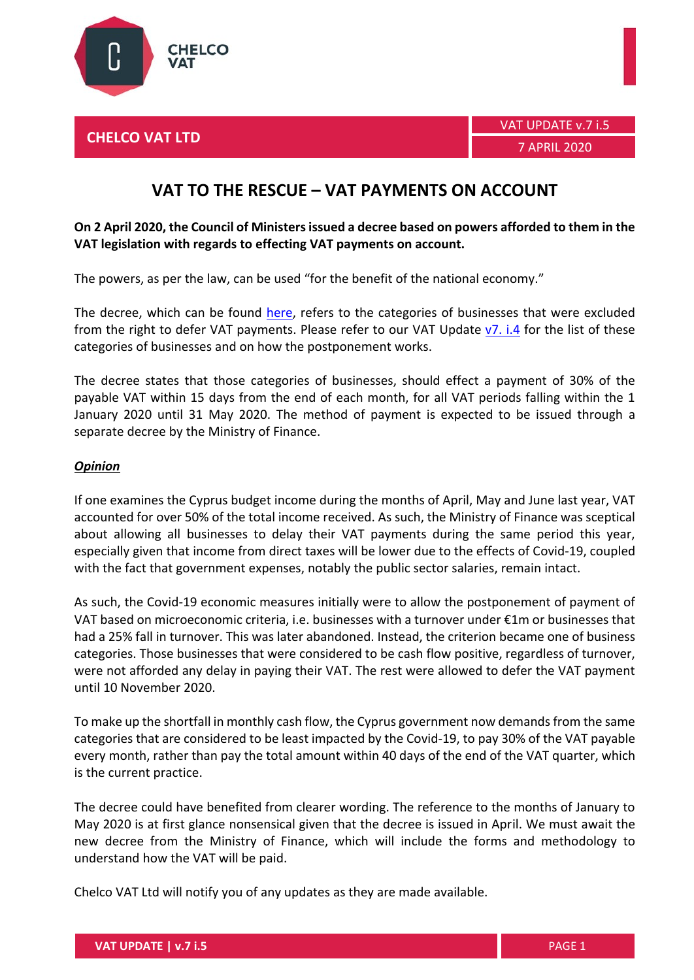

## **VAT TO THE RESCUE – VAT PAYMENTS ON ACCOUNT**

## **On 2 April 2020, the Council of Ministers issued a decree based on powers afforded to them in the VAT legislation with regards to effecting VAT payments on account.**

The powers, as per the law, can be used "for the benefit of the national economy."

The decree, which can be found [here,](https://www.chelcovat.com/wp-content/uploads/2020/04/KDP145-2020-VAT.pdf) refers to the categories of businesses that were excluded from the right to defer VAT payments. Please refer to our VAT Update  $v7$ . i.4 for the list of these categories of businesses and on how the postponement works.

The decree states that those categories of businesses, should effect a payment of 30% of the payable VAT within 15 days from the end of each month, for all VAT periods falling within the 1 January 2020 until 31 May 2020. The method of payment is expected to be issued through a separate decree by the Ministry of Finance.

## *Opinion*

If one examines the Cyprus budget income during the months of April, May and June last year, VAT accounted for over 50% of the total income received. As such, the Ministry of Finance was sceptical about allowing all businesses to delay their VAT payments during the same period this year, especially given that income from direct taxes will be lower due to the effects of Covid-19, coupled with the fact that government expenses, notably the public sector salaries, remain intact.

As such, the Covid-19 economic measures initially were to allow the postponement of payment of VAT based on microeconomic criteria, i.e. businesses with a turnover under €1m or businesses that had a 25% fall in turnover. This was later abandoned. Instead, the criterion became one of business categories. Those businesses that were considered to be cash flow positive, regardless of turnover, were not afforded any delay in paying their VAT. The rest were allowed to defer the VAT payment until 10 November 2020.

To make up the shortfall in monthly cash flow, the Cyprus government now demands from the same categories that are considered to be least impacted by the Covid-19, to pay 30% of the VAT payable every month, rather than pay the total amount within 40 days of the end of the VAT quarter, which is the current practice.

The decree could have benefited from clearer wording. The reference to the months of January to May 2020 is at first glance nonsensical given that the decree is issued in April. We must await the new decree from the Ministry of Finance, which will include the forms and methodology to understand how the VAT will be paid.

Chelco VAT Ltd will notify you of any updates as they are made available.